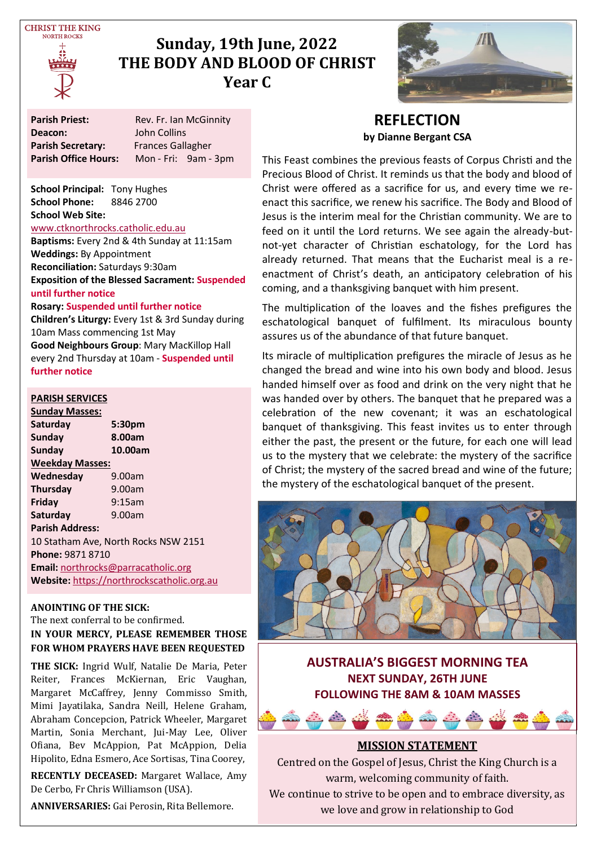**CHRIST THE KING NOPTH POCKS** 



# **Sunday, 19th June, 2022 THE BODY AND BLOOD OF CHRIST Year C**



| <b>Parish Priest:</b>       | Rev. Fr. Ian McGinnity   |  |  |
|-----------------------------|--------------------------|--|--|
| Deacon:                     | John Collins             |  |  |
| <b>Parish Secretary:</b>    | <b>Frances Gallagher</b> |  |  |
| <b>Parish Office Hours:</b> | Mon - Fri: 9am - 3pm     |  |  |

**School Principal:** Tony Hughes **School Phone:** 8846 2700 **School Web Site:** 

#### [www.ctknorthrocks.catholic.edu.au](http://www.ctknorthrocks.catholic.edu.au)

**Baptisms:** Every 2nd & 4th Sunday at 11:15am **Weddings:** By Appointment **Reconciliation:** Saturdays 9:30am **Exposition of the Blessed Sacrament: Suspended until further notice**

#### **Rosary: Suspended until further notice**

**Children's Liturgy:** Every 1st & 3rd Sunday during 10am Mass commencing 1st May **Good Neighbours Group**: Mary MacKillop Hall every 2nd Thursday at 10am - **Suspended until further notice**

#### **PARISH SERVICES**

| <b>Sunday Masses:</b>                      |         |  |  |  |  |
|--------------------------------------------|---------|--|--|--|--|
| Saturday                                   | 5:30pm  |  |  |  |  |
| Sunday                                     | 8.00am  |  |  |  |  |
| Sunday                                     | 10.00am |  |  |  |  |
| <b>Weekday Masses:</b>                     |         |  |  |  |  |
| Wednesday                                  | 9.00am  |  |  |  |  |
| Thursday                                   | 9.00am  |  |  |  |  |
| Friday                                     | 9:15am  |  |  |  |  |
| Saturday                                   | 9.00am  |  |  |  |  |
| <b>Parish Address:</b>                     |         |  |  |  |  |
| 10 Statham Ave, North Rocks NSW 2151       |         |  |  |  |  |
| Phone: 9871 8710                           |         |  |  |  |  |
| Email: northrocks@parracatholic.org        |         |  |  |  |  |
| Website: https://northrockscatholic.org.au |         |  |  |  |  |

#### **ANOINTING OF THE SICK:**

The next conferral to be confirmed. **IN YOUR MERCY, PLEASE REMEMBER THOSE FOR WHOM PRAYERS HAVE BEEN REQUESTED**

**THE SICK:** Ingrid Wulf, Natalie De Maria, Peter Reiter, Frances McKiernan, Eric Vaughan, Margaret McCaffrey, Jenny Commisso Smith, Mimi Jayatilaka, Sandra Neill, Helene Graham, Abraham Concepcion, Patrick Wheeler, Margaret Martin, Sonia Merchant, Jui-May Lee, Oliver Ofiana, Bev McAppion, Pat McAppion, Delia Hipolito, Edna Esmero, Ace Sortisas, Tina Coorey,

**RECENTLY DECEASED:** Margaret Wallace, Amy De Cerbo, Fr Chris Williamson (USA).

**ANNIVERSARIES:** Gai Perosin, Rita Bellemore.

### **REFLECTION by Dianne Bergant CSA**

This Feast combines the previous feasts of Corpus Christi and the Precious Blood of Christ. It reminds us that the body and blood of Christ were offered as a sacrifice for us, and every time we reenact this sacrifice, we renew his sacrifice. The Body and Blood of Jesus is the interim meal for the Christian community. We are to feed on it until the Lord returns. We see again the already-butnot-yet character of Christian eschatology, for the Lord has already returned. That means that the Eucharist meal is a reenactment of Christ's death, an anticipatory celebration of his coming, and a thanksgiving banquet with him present.

The multiplication of the loaves and the fishes prefigures the eschatological banquet of fulfilment. Its miraculous bounty assures us of the abundance of that future banquet.

Its miracle of multiplication prefigures the miracle of Jesus as he changed the bread and wine into his own body and blood. Jesus handed himself over as food and drink on the very night that he was handed over by others. The banquet that he prepared was a celebration of the new covenant; it was an eschatological banquet of thanksgiving. This feast invites us to enter through either the past, the present or the future, for each one will lead us to the mystery that we celebrate: the mystery of the sacrifice of Christ; the mystery of the sacred bread and wine of the future; the mystery of the eschatological banquet of the present.



**AUSTRALIA'S BIGGEST MORNING TEA NEXT SUNDAY, 26TH JUNE FOLLOWING THE 8AM & 10AM MASSES**



### **MISSION STATEMENT**

Centred on the Gospel of Jesus, Christ the King Church is a warm, welcoming community of faith. We continue to strive to be open and to embrace diversity, as we love and grow in relationship to God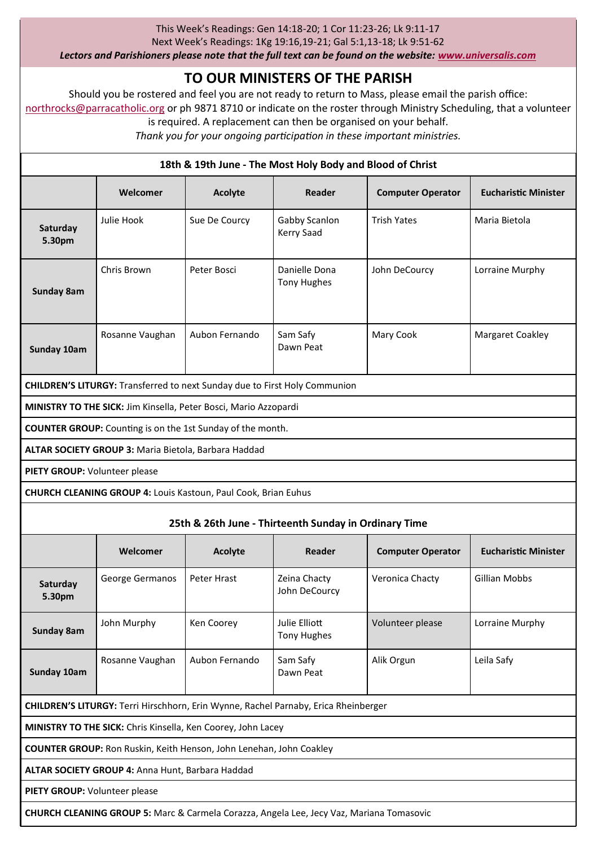#### This Week's Readings: Gen 14:18-20; 1 Cor 11:23-26; Lk 9:11-17

Next Week's Readings: 1Kg 19:16,19-21; Gal 5:1,13-18; Lk 9:51-62

*Lectors and Parishioners please note that the full text can be found on the website: [www.universalis.com](http://www.universalis.com)*

# **TO OUR MINISTERS OF THE PARISH**

Should you be rostered and feel you are not ready to return to Mass, please email the parish office: [northrocks@parracatholic.org](mailto:northrocks@parracatholic.org) or ph 9871 8710 or indicate on the roster through Ministry Scheduling, that a volunteer is required. A replacement can then be organised on your behalf.

*Thank you for your ongoing participation in these important ministries.*

#### **18th & 19th June - The Most Holy Body and Blood of Christ**

|                                                                                   | Welcomer        | Acolyte        | Reader                              | <b>Computer Operator</b> | <b>Eucharistic Minister</b> |  |  |
|-----------------------------------------------------------------------------------|-----------------|----------------|-------------------------------------|--------------------------|-----------------------------|--|--|
| Saturday<br>5.30pm                                                                | Julie Hook      | Sue De Courcy  | Gabby Scanlon<br>Kerry Saad         | <b>Trish Yates</b>       | Maria Bietola               |  |  |
| Sunday 8am                                                                        | Chris Brown     | Peter Bosci    | Danielle Dona<br><b>Tony Hughes</b> | John DeCourcy            | Lorraine Murphy             |  |  |
| Sunday 10am                                                                       | Rosanne Vaughan | Aubon Fernando | Sam Safy<br>Dawn Peat               | Mary Cook                | Margaret Coakley            |  |  |
| <b>CHILDREN'S LITURGY:</b> Transferred to next Sunday due to First Holy Communion |                 |                |                                     |                          |                             |  |  |
| MINISTRY TO THE SICK: Jim Kinsella, Peter Bosci, Mario Azzopardi                  |                 |                |                                     |                          |                             |  |  |
| <b>COUNTER GROUP:</b> Counting is on the 1st Sunday of the month.                 |                 |                |                                     |                          |                             |  |  |
| ALTAR SOCIETY GROUP 3: Maria Bietola, Barbara Haddad                              |                 |                |                                     |                          |                             |  |  |
| PIETY GROUP: Volunteer please                                                     |                 |                |                                     |                          |                             |  |  |
| CHURCH CLEANING GROUP 4: Louis Kastoun, Paul Cook, Brian Euhus                    |                 |                |                                     |                          |                             |  |  |
| 25th & 26th June - Thirteenth Sunday in Ordinary Time                             |                 |                |                                     |                          |                             |  |  |
|                                                                                   | Welcomer        | Acolyte        | Reader                              | <b>Computer Operator</b> | <b>Eucharistic Minister</b> |  |  |
| Saturdav                                                                          | George Germanos | Peter Hrast    | Zeina Chacty                        | Veronica Chacty          | <b>Gillian Mobbs</b>        |  |  |

John DeCourcy

Tony Hughes

Dawn Peat

Volunteer please Lorraine Murphy

Alik Orgun Leila Safy

**CHILDREN'S LITURGY:** Terri Hirschhorn, Erin Wynne, Rachel Parnaby, Erica Rheinberger **MINISTRY TO THE SICK:** Chris Kinsella, Ken Coorey, John Lacey

John Murphy Ken Coorey Julie Elliott

Rosanne Vaughan Aubon Fernando Sam Safy

**COUNTER GROUP:** Ron Ruskin, Keith Henson, John Lenehan, John Coakley

**ALTAR SOCIETY GROUP 4:** Anna Hunt, Barbara Haddad

**PIETY GROUP:** Volunteer please

**5.30pm**

**Sunday 8am**

**Sunday 10am**

**CHURCH CLEANING GROUP 5:** Marc & Carmela Corazza, Angela Lee, Jecy Vaz, Mariana Tomasovic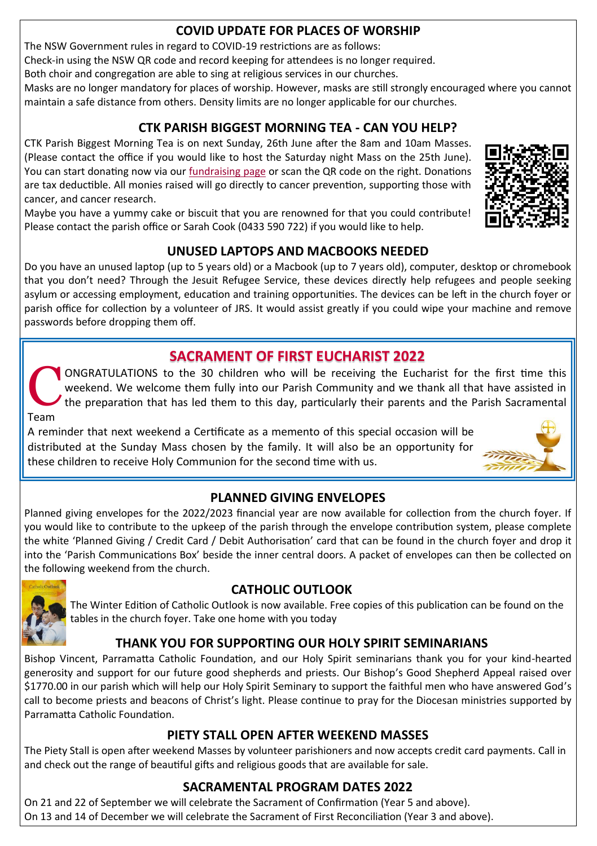# **COVID UPDATE FOR PLACES OF WORSHIP**

The NSW Government rules in regard to COVID-19 restrictions are as follows:

Check-in using the NSW QR code and record keeping for attendees is no longer required.

Both choir and congregation are able to sing at religious services in our churches.

Masks are no longer mandatory for places of worship. However, masks are still strongly encouraged where you cannot maintain a safe distance from others. Density limits are no longer applicable for our churches.

# **CTK PARISH BIGGEST MORNING TEA - CAN YOU HELP?**

CTK Parish Biggest Morning Tea is on next Sunday, 26th June after the 8am and 10am Masses. (Please contact the office if you would like to host the Saturday night Mass on the 25th June). You can start donating now via our [fundraising page](https://www.biggestmorningtea.com.au/fundraisers/ctk44027/biggest-morning-tea-nsw) or scan the QR code on the right. Donations are tax deductible. All monies raised will go directly to cancer prevention, supporting those with cancer, and cancer research.

Maybe you have a yummy cake or biscuit that you are renowned for that you could contribute! Please contact the parish office or Sarah Cook (0433 590 722) if you would like to help.

# **UNUSED LAPTOPS AND MACBOOKS NEEDED**

Do you have an unused laptop (up to 5 years old) or a Macbook (up to 7 years old), computer, desktop or chromebook that you don't need? Through the Jesuit Refugee Service, these devices directly help refugees and people seeking asylum or accessing employment, education and training opportunities. The devices can be left in the church foyer or parish office for collection by a volunteer of JRS. It would assist greatly if you could wipe your machine and remove passwords before dropping them off.

# **SACRAMENT OF FIRST EUCHARIST 2022**

C ONGRATULATIONS to the 30 children who will be receiving the Eucharist for the first time this weekend. We welcome them fully into our Parish Community and we thank all that have assisted in the preparation that has led them to this day, particularly their parents and the Parish Sacramental Team

A reminder that next weekend a Certificate as a memento of this special occasion will be distributed at the Sunday Mass chosen by the family. It will also be an opportunity for these children to receive Holy Communion for the second time with us.

# **PLANNED GIVING ENVELOPES**

Planned giving envelopes for the 2022/2023 financial year are now available for collection from the church foyer. If you would like to contribute to the upkeep of the parish through the envelope contribution system, please complete the white 'Planned Giving / Credit Card / Debit Authorisation' card that can be found in the church foyer and drop it into the 'Parish Communications Box' beside the inner central doors. A packet of envelopes can then be collected on the following weekend from the church.



# **CATHOLIC OUTLOOK**

The Winter Edition of Catholic Outlook is now available. Free copies of this publication can be found on the tables in the church foyer. Take one home with you today

# **THANK YOU FOR SUPPORTING OUR HOLY SPIRIT SEMINARIANS**

Bishop Vincent, Parramatta Catholic Foundation, and our Holy Spirit seminarians thank you for your kind-hearted generosity and support for our future good shepherds and priests. Our Bishop's Good Shepherd Appeal raised over \$1770.00 in our parish which will help our Holy Spirit Seminary to support the faithful men who have answered God's call to become priests and beacons of Christ's light. Please continue to pray for the Diocesan ministries supported by Parramatta Catholic Foundation.

# **PIETY STALL OPEN AFTER WEEKEND MASSES**

The Piety Stall is open after weekend Masses by volunteer parishioners and now accepts credit card payments. Call in and check out the range of beautiful gifts and religious goods that are available for sale.

# **SACRAMENTAL PROGRAM DATES 2022**

On 21 and 22 of September we will celebrate the Sacrament of Confirmation (Year 5 and above). On 13 and 14 of December we will celebrate the Sacrament of First Reconciliation (Year 3 and above).